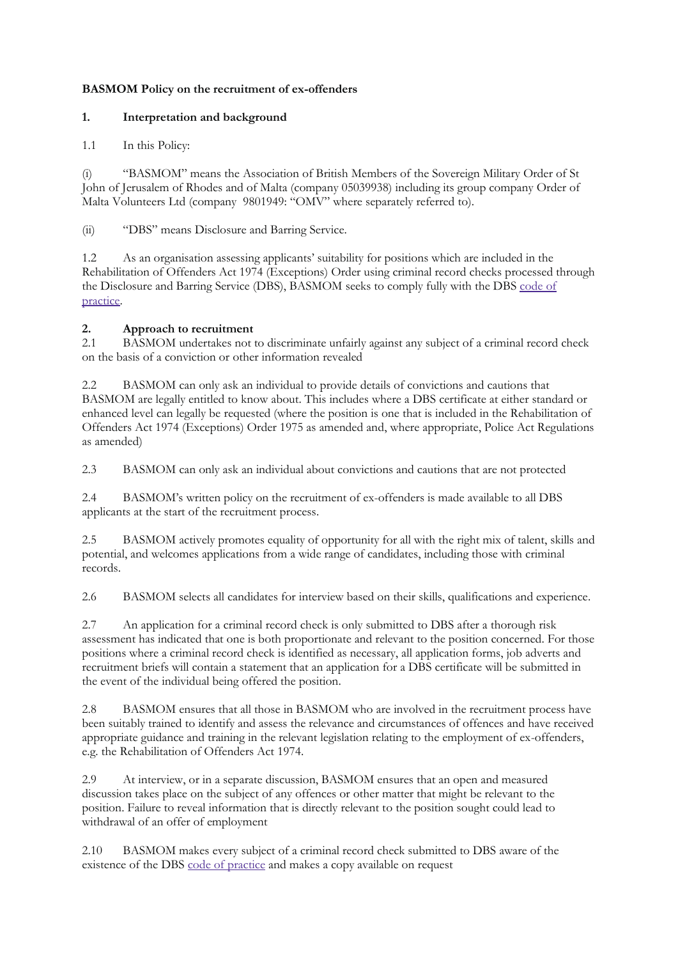## **BASMOM Policy on the recruitment of ex-offenders**

## **1. Interpretation and background**

## 1.1 In this Policy:

(i) "BASMOM" means the Association of British Members of the Sovereign Military Order of St John of Jerusalem of Rhodes and of Malta (company 05039938) including its group company Order of Malta Volunteers Ltd (company 9801949: "OMV" where separately referred to).

(ii) "DBS" means Disclosure and Barring Service.

1.2 As an organisation assessing applicants' suitability for positions which are included in the Rehabilitation of Offenders Act 1974 (Exceptions) Order using criminal record checks processed through the Disclosure and Barring Service (DBS), BASMOM seeks to comply fully with the DBS [code](https://www.gov.uk/government/publications/dbs-code-of-practice) of [practice.](https://www.gov.uk/government/publications/dbs-code-of-practice)

## **2. Approach to recruitment**

2.1 BASMOM undertakes not to discriminate unfairly against any subject of a criminal record check on the basis of a conviction or other information revealed

2.2 BASMOM can only ask an individual to provide details of convictions and cautions that BASMOM are legally entitled to know about. This includes where a DBS certificate at either standard or enhanced level can legally be requested (where the position is one that is included in the Rehabilitation of Offenders Act 1974 (Exceptions) Order 1975 as amended and, where appropriate, Police Act Regulations as amended)

2.3 BASMOM can only ask an individual about convictions and cautions that are not protected

2.4 BASMOM's written policy on the recruitment of ex-offenders is made available to all DBS applicants at the start of the recruitment process.

2.5 BASMOM actively promotes equality of opportunity for all with the right mix of talent, skills and potential, and welcomes applications from a wide range of candidates, including those with criminal records.

2.6 BASMOM selects all candidates for interview based on their skills, qualifications and experience.

2.7 An application for a criminal record check is only submitted to DBS after a thorough risk assessment has indicated that one is both proportionate and relevant to the position concerned. For those positions where a criminal record check is identified as necessary, all application forms, job adverts and recruitment briefs will contain a statement that an application for a DBS certificate will be submitted in the event of the individual being offered the position.

2.8 BASMOM ensures that all those in BASMOM who are involved in the recruitment process have been suitably trained to identify and assess the relevance and circumstances of offences and have received appropriate guidance and training in the relevant legislation relating to the employment of ex-offenders, e.g. the Rehabilitation of Offenders Act 1974.

2.9 At interview, or in a separate discussion, BASMOM ensures that an open and measured discussion takes place on the subject of any offences or other matter that might be relevant to the position. Failure to reveal information that is directly relevant to the position sought could lead to withdrawal of an offer of employment

2.10 BASMOM makes every subject of a criminal record check submitted to DBS aware of the existence of the DBS code of [practice](https://www.gov.uk/government/publications/dbs-code-of-practice) and makes a copy available on request